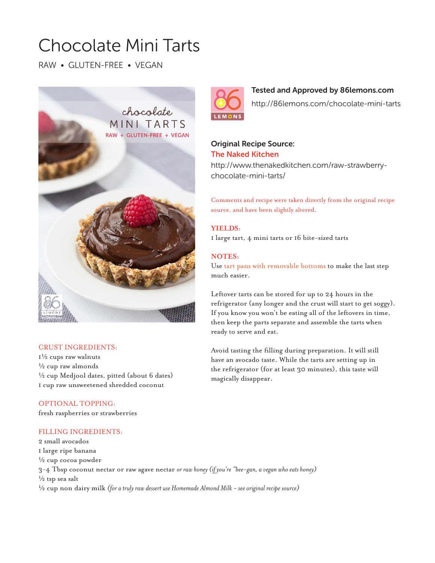# Chocolate Mini Tarts

RAW • GLUTEN-FREE • VEGAN



## CRUST INGREDIENTS:

1½ cups raw walnuts  $\frac{1}{2}$  cup raw almonds  $\frac{1}{2}$  cup Medjool dates, pitted (about 6 dates) 1 cup raw unsweetened shredded coconut

# OPTIONAL TOPPING:

fresh raspberries or strawberries

# FILLING INGREDIENTS:

2 small avocados 1 large ripe banana  $\frac{1}{2}$  cup cocoa powder 3-4 Tbsp coconut nectar or raw agave nectar *or raw honey (if you're "bee-gan, a vegan who eats honey)*  $\frac{1}{2}$  tsp sea salt ½ cup non dairy milk *(for a truly raw dessert use Homemade Almond Milk - see original recipe source)*

# Tested and Approved by 86lemons.com

http://86lemons.com/chocolate-mini-tarts

# Original Recipe Source: The Naked Kitchen

http://www.thenakedkitchen.com/raw-strawberrychocolate-mini-tarts/

Comments and recipe were taken directly from the original recipe source, and have been slightly altered.

# **YIELDS:**

1 large tart, 4 mini tarts or 16 bite-sized tarts

# **NOTES:**

Use tart pans with removable bottoms to make the last step much easier.

Leftover tarts can be stored for up to 24 hours in the refrigerator (any longer and the crust will start to get soggy). If you know you won't be eating all of the leftovers in time, then keep the parts separate and assemble the tarts when ready to serve and eat.

Avoid tasting the filling during preparation. It will still have an avocado taste. While the tarts are setting up in the refrigerator (for at least 30 minutes), this taste will magically disappear.